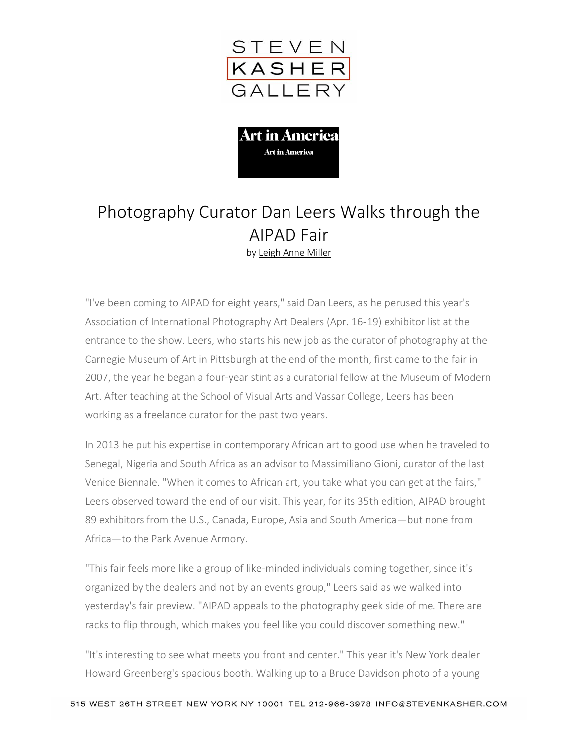



## Photography Curator Dan Leers Walks through the AIPAD Fair by [Leigh Anne Miller](http://www.artinamericamagazine.com/search/Leigh+Anne+Miller/)

"I've been coming to AIPAD for eight years," said Dan Leers, as he perused this year's Association of International Photography Art Dealers (Apr. 16-19) exhibitor list at the entrance to the show. Leers, who starts his new job as the curator of photography at the Carnegie Museum of Art in Pittsburgh at the end of the month, first came to the fair in 2007, the year he began a four-year stint as a curatorial fellow at the Museum of Modern Art. After teaching at the School of Visual Arts and Vassar College, Leers has been working as a freelance curator for the past two years.

In 2013 he put his expertise in contemporary African art to good use when he traveled to Senegal, Nigeria and South Africa as an advisor to Massimiliano Gioni, curator of the last Venice Biennale. "When it comes to African art, you take what you can get at the fairs," Leers observed toward the end of our visit. This year, for its 35th edition, AIPAD brought 89 exhibitors from the U.S., Canada, Europe, Asia and South America—but none from Africa—to the Park Avenue Armory.

"This fair feels more like a group of like-minded individuals coming together, since it's organized by the dealers and not by an events group," Leers said as we walked into yesterday's fair preview. "AIPAD appeals to the photography geek side of me. There are racks to flip through, which makes you feel like you could discover something new."

"It's interesting to see what meets you front and center." This year it's New York dealer Howard Greenberg's spacious booth. Walking up to a Bruce Davidson photo of a young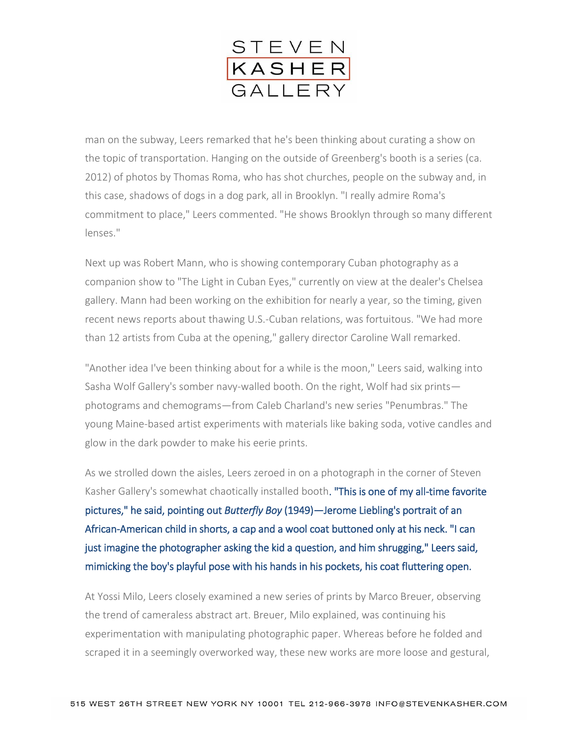

man on the subway, Leers remarked that he's been thinking about curating a show on the topic of transportation. Hanging on the outside of Greenberg's booth is a series (ca. 2012) of photos by Thomas Roma, who has shot churches, people on the subway and, in this case, shadows of dogs in a dog park, all in Brooklyn. "I really admire Roma's commitment to place," Leers commented. "He shows Brooklyn through so many different lenses."

Next up was Robert Mann, who is showing contemporary Cuban photography as a companion show to "The Light in Cuban Eyes," currently on view at the dealer's Chelsea gallery. Mann had been working on the exhibition for nearly a year, so the timing, given recent news reports about thawing U.S.-Cuban relations, was fortuitous. "We had more than 12 artists from Cuba at the opening," gallery director Caroline Wall remarked.

"Another idea I've been thinking about for a while is the moon," Leers said, walking into Sasha Wolf Gallery's somber navy-walled booth. On the right, Wolf had six prints photograms and chemograms—from Caleb Charland's new series "Penumbras." The young Maine-based artist experiments with materials like baking soda, votive candles and glow in the dark powder to make his eerie prints.

As we strolled down the aisles, Leers zeroed in on a photograph in the corner of Steven Kasher Gallery's somewhat chaotically installed booth. "This is one of my all-time favorite pictures," he said, pointing out *Butterfly Boy* (1949)*—*Jerome Liebling's portrait of an African-American child in shorts, a cap and a wool coat buttoned only at his neck. "I can just imagine the photographer asking the kid a question, and him shrugging," Leers said, mimicking the boy's playful pose with his hands in his pockets, his coat fluttering open.

At Yossi Milo, Leers closely examined a new series of prints by Marco Breuer, observing the trend of cameraless abstract art. Breuer, Milo explained, was continuing his experimentation with manipulating photographic paper. Whereas before he folded and scraped it in a seemingly overworked way, these new works are more loose and gestural,